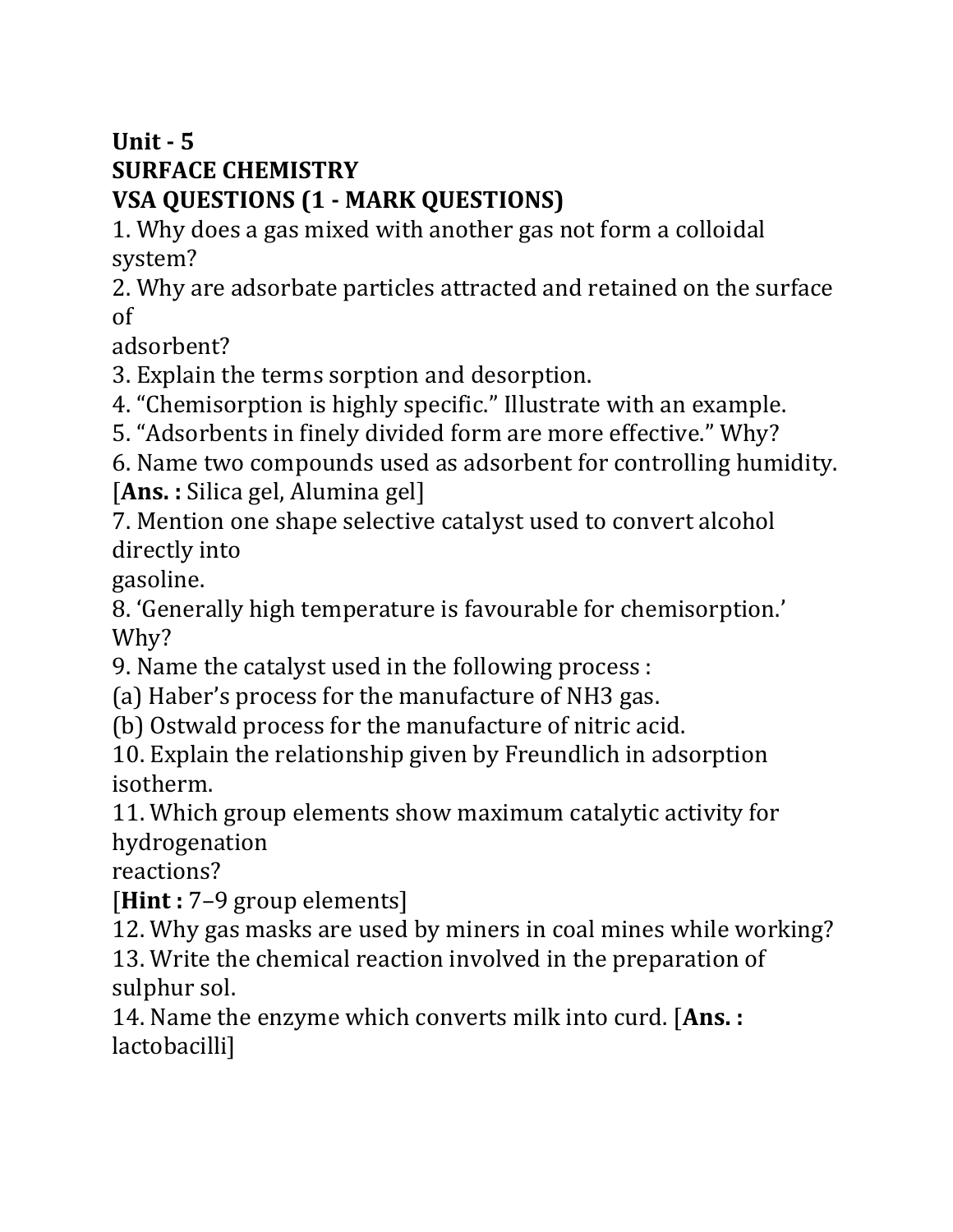## **Unit - 5 SURFACE CHEMISTRY VSA QUESTIONS (1 - MARK QUESTIONS)**

1. Why does a gas mixed with another gas not form a colloidal system?

2. Why are adsorbate particles attracted and retained on the surface of

adsorbent?

3. Explain the terms sorption and desorption.

4. "Chemisorption is highly specific." Illustrate with an example.

5. "Adsorbents in finely divided form are more effective." Why?

6. Name two compounds used as adsorbent for controlling humidity. [**Ans. :** Silica gel, Alumina gel]

7. Mention one shape selective catalyst used to convert alcohol directly into

gasoline.

8. 'Generally high temperature is favourable for chemisorption.' Why?

9. Name the catalyst used in the following process :

(a) Haber's process for the manufacture of NH3 gas.

(b) Ostwald process for the manufacture of nitric acid.

10. Explain the relationship given by Freundlich in adsorption isotherm.

11. Which group elements show maximum catalytic activity for hydrogenation

reactions?

[**Hint :** 7–9 group elements]

12. Why gas masks are used by miners in coal mines while working?

13. Write the chemical reaction involved in the preparation of sulphur sol.

14. Name the enzyme which converts milk into curd. [**Ans. :**  lactobacilli]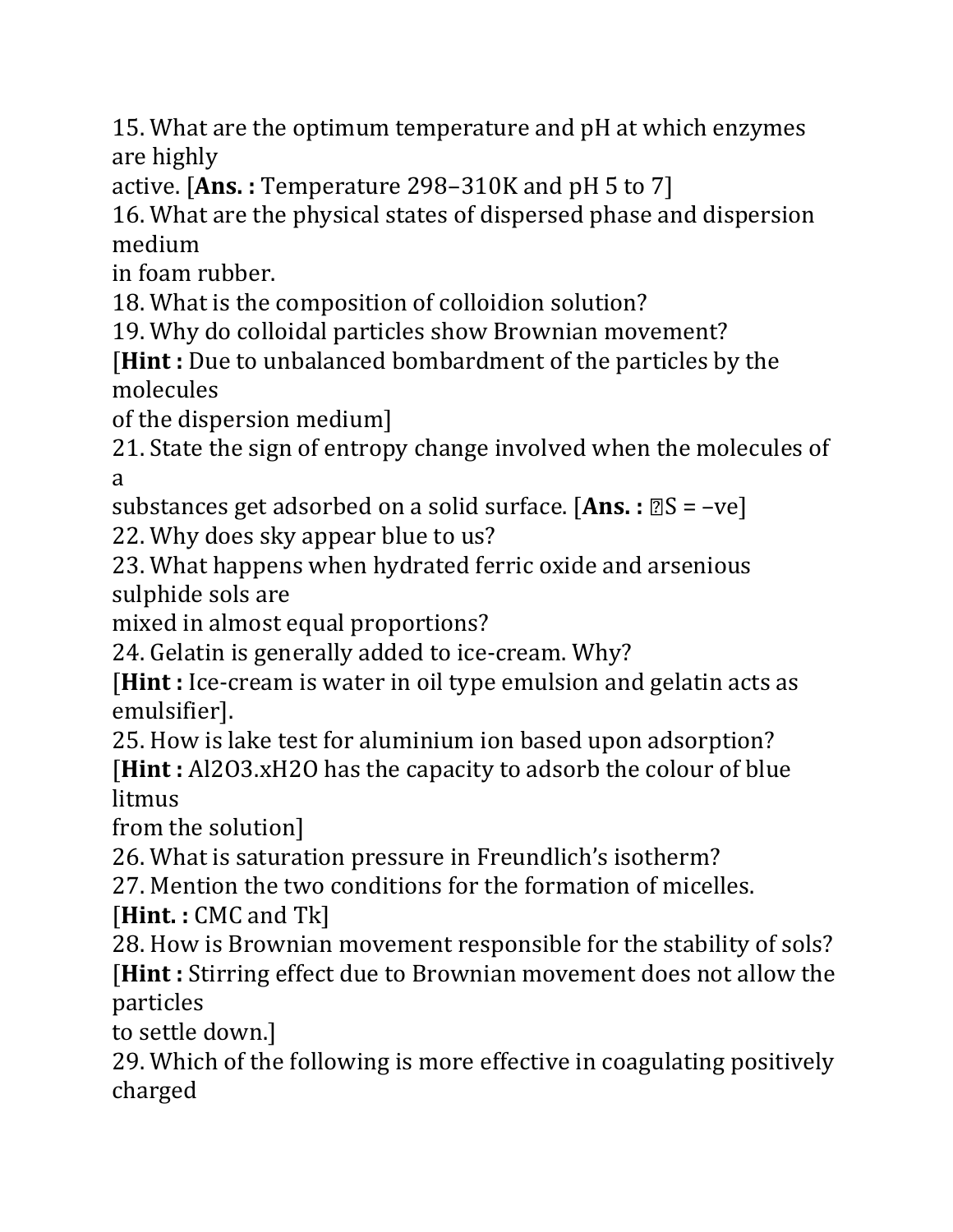15. What are the optimum temperature and pH at which enzymes are highly

active. [**Ans. :** Temperature 298–310K and pH 5 to 7]

16. What are the physical states of dispersed phase and dispersion medium

in foam rubber.

18. What is the composition of colloidion solution?

19. Why do colloidal particles show Brownian movement?

[**Hint :** Due to unbalanced bombardment of the particles by the molecules

of the dispersion medium]

21. State the sign of entropy change involved when the molecules of a

substances get adsorbed on a solid surface. [Ans. :  $\mathbb{S}S = -ve$ ]

22. Why does sky appear blue to us?

23. What happens when hydrated ferric oxide and arsenious sulphide sols are

mixed in almost equal proportions?

24. Gelatin is generally added to ice-cream. Why?

[**Hint :** Ice-cream is water in oil type emulsion and gelatin acts as emulsifier].

25. How is lake test for aluminium ion based upon adsorption?

[**Hint :** Al2O3.xH2O has the capacity to adsorb the colour of blue litmus

from the solution]

26. What is saturation pressure in Freundlich's isotherm?

27. Mention the two conditions for the formation of micelles.

[**Hint. :** CMC and Tk]

28. How is Brownian movement responsible for the stability of sols? [**Hint :** Stirring effect due to Brownian movement does not allow the particles

to settle down.]

29. Which of the following is more effective in coagulating positively charged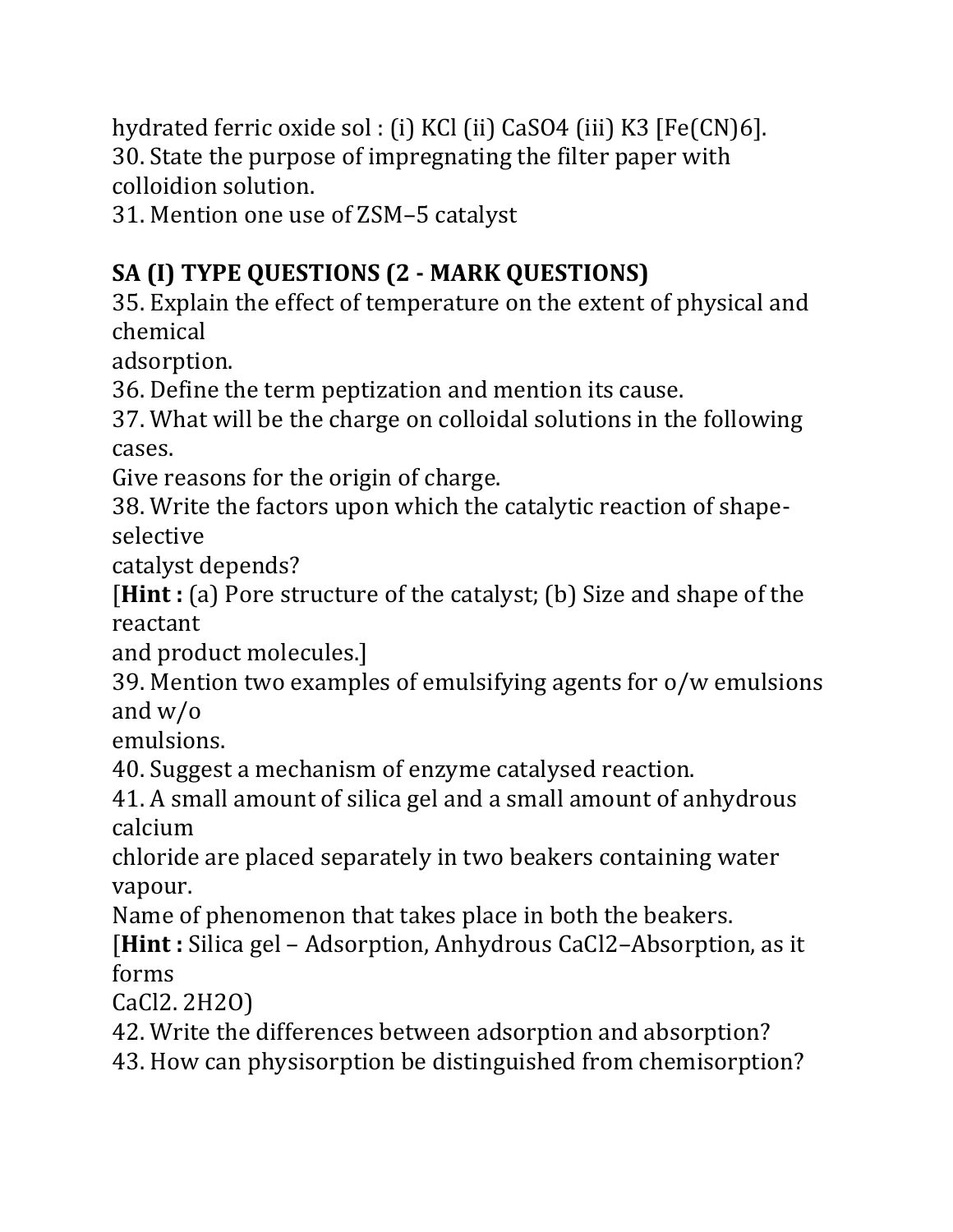hydrated ferric oxide sol : (i) KCl (ii) CaSO4 (iii) K3 [Fe(CN)6]. 30. State the purpose of impregnating the filter paper with colloidion solution.

31. Mention one use of ZSM–5 catalyst

## **SA (I) TYPE QUESTIONS (2 - MARK QUESTIONS)**

35. Explain the effect of temperature on the extent of physical and chemical

adsorption.

36. Define the term peptization and mention its cause.

37. What will be the charge on colloidal solutions in the following cases.

Give reasons for the origin of charge.

38. Write the factors upon which the catalytic reaction of shapeselective

catalyst depends?

[**Hint :** (a) Pore structure of the catalyst; (b) Size and shape of the reactant

and product molecules.]

39. Mention two examples of emulsifying agents for o/w emulsions and w/o

emulsions.

40. Suggest a mechanism of enzyme catalysed reaction.

41. A small amount of silica gel and a small amount of anhydrous calcium

chloride are placed separately in two beakers containing water vapour.

Name of phenomenon that takes place in both the beakers.

[**Hint :** Silica gel – Adsorption, Anhydrous CaCl2–Absorption, as it forms

CaCl2. 2H2O)

42. Write the differences between adsorption and absorption?

43. How can physisorption be distinguished from chemisorption?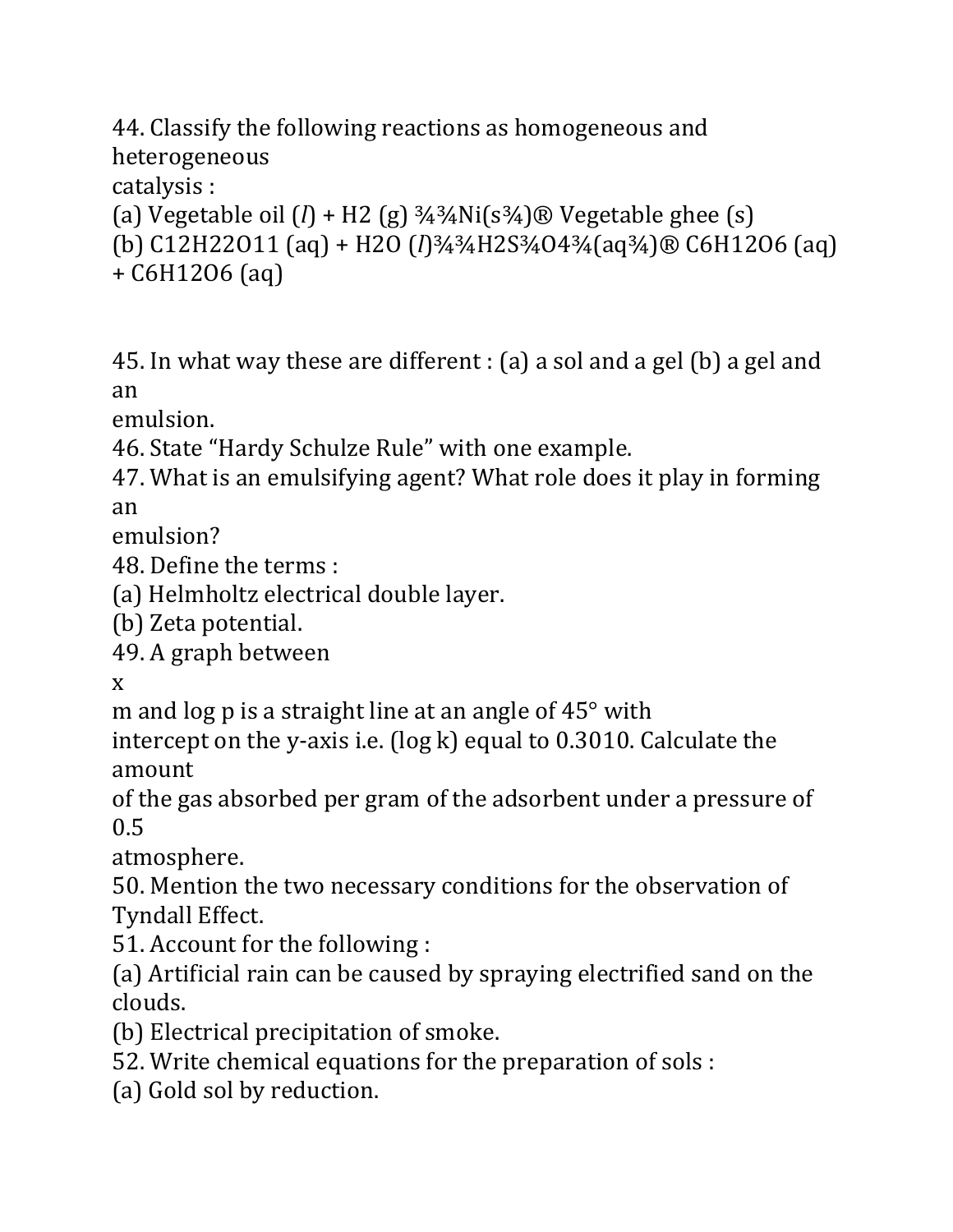44. Classify the following reactions as homogeneous and heterogeneous

catalysis :

(a) Vegetable oil  $(l)$  + H2 (g)  $\frac{3}{4}$  $\frac{3}{4}$ Ni(s $\frac{3}{4}$ ) $\otimes$  Vegetable ghee (s) (b) C12H22O11 (aq) + H2O (*l*)¾¾H2S¾O4¾(aq¾)® C6H12O6 (aq) + C6H12O6 (aq)

45. In what way these are different : (a) a sol and a gel (b) a gel and an

emulsion.

46. State "Hardy Schulze Rule" with one example.

47. What is an emulsifying agent? What role does it play in forming an

emulsion?

48. Define the terms :

(a) Helmholtz electrical double layer.

(b) Zeta potential.

49. A graph between

x

m and log p is a straight line at an angle of 45° with

intercept on the y-axis i.e. (log k) equal to 0.3010. Calculate the amount

of the gas absorbed per gram of the adsorbent under a pressure of 0.5

atmosphere.

50. Mention the two necessary conditions for the observation of Tyndall Effect.

51. Account for the following :

(a) Artificial rain can be caused by spraying electrified sand on the clouds.

(b) Electrical precipitation of smoke.

52. Write chemical equations for the preparation of sols :

(a) Gold sol by reduction.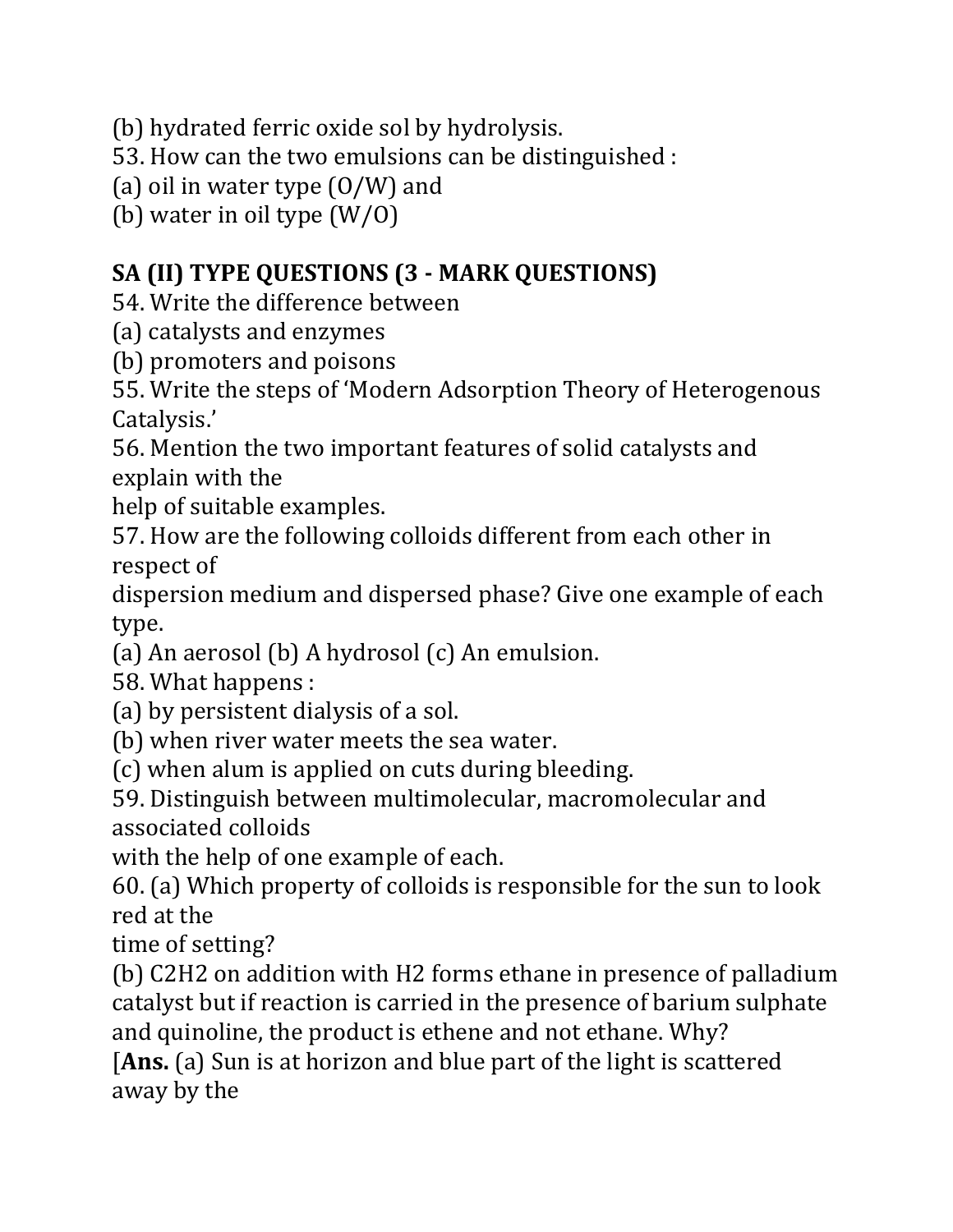(b) hydrated ferric oxide sol by hydrolysis.

53. How can the two emulsions can be distinguished :

(a) oil in water type (O/W) and

(b) water in oil type (W/O)

## **SA (II) TYPE QUESTIONS (3 - MARK QUESTIONS)**

54. Write the difference between

- (a) catalysts and enzymes
- (b) promoters and poisons

55. Write the steps of 'Modern Adsorption Theory of Heterogenous Catalysis.'

56. Mention the two important features of solid catalysts and explain with the

help of suitable examples.

57. How are the following colloids different from each other in respect of

dispersion medium and dispersed phase? Give one example of each type.

(a) An aerosol (b) A hydrosol (c) An emulsion.

58. What happens :

(a) by persistent dialysis of a sol.

(b) when river water meets the sea water.

(c) when alum is applied on cuts during bleeding.

59. Distinguish between multimolecular, macromolecular and associated colloids

with the help of one example of each.

60. (a) Which property of colloids is responsible for the sun to look red at the

time of setting?

(b) C2H2 on addition with H2 forms ethane in presence of palladium catalyst but if reaction is carried in the presence of barium sulphate and quinoline, the product is ethene and not ethane. Why?

[**Ans.** (a) Sun is at horizon and blue part of the light is scattered away by the